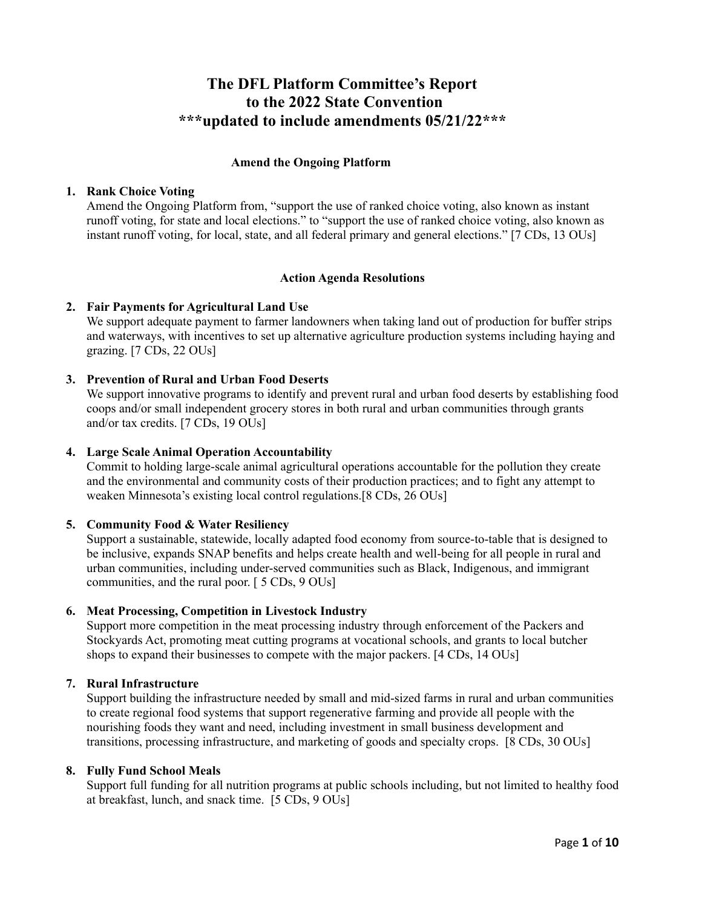# **The DFL Platform Committee's Report to the 2022 State Convention \*\*\*updated to include amendments 05/21/22\*\*\***

#### **Amend the Ongoing Platform**

#### **1. Rank Choice Voting**

Amend the Ongoing Platform from, "support the use of ranked choice voting, also known as instant runoff voting, for state and local elections." to "support the use of ranked choice voting, also known as instant runoff voting, for local, state, and all federal primary and general elections." [7 CDs, 13 OUs]

#### **Action Agenda Resolutions**

# **2. Fair Payments for Agricultural Land Use**

We support adequate payment to farmer landowners when taking land out of production for buffer strips and waterways, with incentives to set up alternative agriculture production systems including haying and grazing. [7 CDs, 22 OUs]

#### **3. Prevention of Rural and Urban Food Deserts**

We support innovative programs to identify and prevent rural and urban food deserts by establishing food coops and/or small independent grocery stores in both rural and urban communities through grants and/or tax credits. [7 CDs, 19 OUs]

#### **4. Large Scale Animal Operation Accountability**

Commit to holding large-scale animal agricultural operations accountable for the pollution they create and the environmental and community costs of their production practices; and to fight any attempt to weaken Minnesota's existing local control regulations.[8 CDs, 26 OUs]

# **5. Community Food & Water Resiliency**

Support a sustainable, statewide, locally adapted food economy from source-to-table that is designed to be inclusive, expands SNAP benefits and helps create health and well-being for all people in rural and urban communities, including under-served communities such as Black, Indigenous, and immigrant communities, and the rural poor. [ 5 CDs, 9 OUs]

# **6. Meat Processing, Competition in Livestock Industry**

Support more competition in the meat processing industry through enforcement of the Packers and Stockyards Act, promoting meat cutting programs at vocational schools, and grants to local butcher shops to expand their businesses to compete with the major packers. [4 CDs, 14 OUs]

# **7. Rural Infrastructure**

Support building the infrastructure needed by small and mid-sized farms in rural and urban communities to create regional food systems that support regenerative farming and provide all people with the nourishing foods they want and need, including investment in small business development and transitions, processing infrastructure, and marketing of goods and specialty crops. [8 CDs, 30 OUs]

#### **8. Fully Fund School Meals**

Support full funding for all nutrition programs at public schools including, but not limited to healthy food at breakfast, lunch, and snack time. [5 CDs, 9 OUs]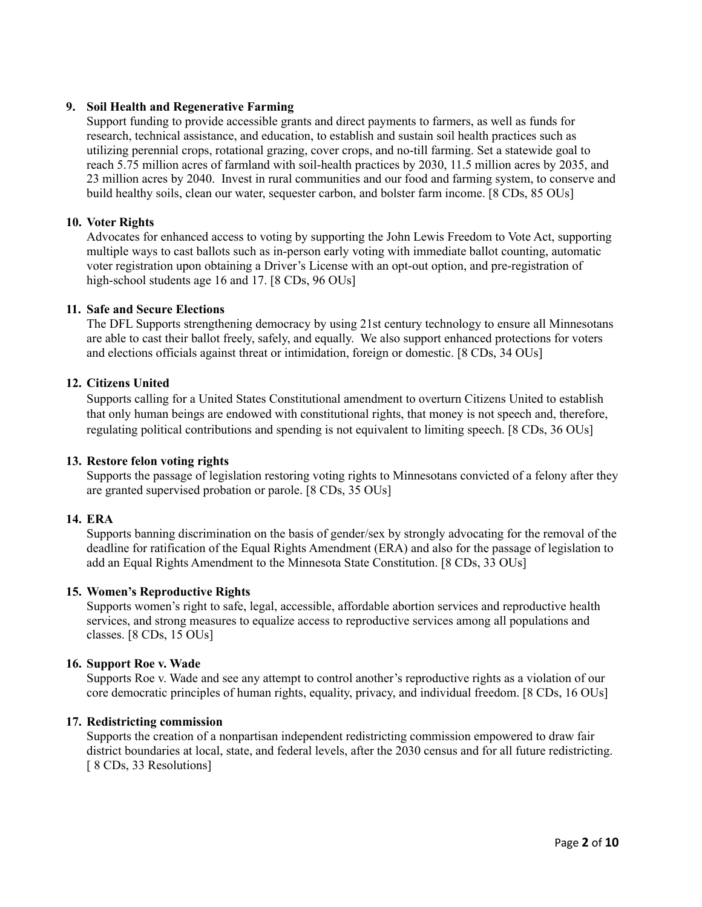# **9. Soil Health and Regenerative Farming**

Support funding to provide accessible grants and direct payments to farmers, as well as funds for research, technical assistance, and education, to establish and sustain soil health practices such as utilizing perennial crops, rotational grazing, cover crops, and no-till farming. Set a statewide goal to reach 5.75 million acres of farmland with soil-health practices by 2030, 11.5 million acres by 2035, and 23 million acres by 2040. Invest in rural communities and our food and farming system, to conserve and build healthy soils, clean our water, sequester carbon, and bolster farm income. [8 CDs, 85 OUs]

# **10. Voter Rights**

Advocates for enhanced access to voting by supporting the John Lewis Freedom to Vote Act, supporting multiple ways to cast ballots such as in-person early voting with immediate ballot counting, automatic voter registration upon obtaining a Driver's License with an opt-out option, and pre-registration of high-school students age 16 and 17. [8 CDs, 96 OUs]

# **11. Safe and Secure Elections**

The DFL Supports strengthening democracy by using 21st century technology to ensure all Minnesotans are able to cast their ballot freely, safely, and equally. We also support enhanced protections for voters and elections officials against threat or intimidation, foreign or domestic. [8 CDs, 34 OUs]

# **12. Citizens United**

Supports calling for a United States Constitutional amendment to overturn Citizens United to establish that only human beings are endowed with constitutional rights, that money is not speech and, therefore, regulating political contributions and spending is not equivalent to limiting speech. [8 CDs, 36 OUs]

# **13. Restore felon voting rights**

Supports the passage of legislation restoring voting rights to Minnesotans convicted of a felony after they are granted supervised probation or parole. [8 CDs, 35 OUs]

# **14. ERA**

Supports banning discrimination on the basis of gender/sex by strongly advocating for the removal of the deadline for ratification of the Equal Rights Amendment (ERA) and also for the passage of legislation to add an Equal Rights Amendment to the Minnesota State Constitution. [8 CDs, 33 OUs]

# **15. Women's Reproductive Rights**

Supports women's right to safe, legal, accessible, affordable abortion services and reproductive health services, and strong measures to equalize access to reproductive services among all populations and classes. [8 CDs, 15 OUs]

#### **16. Support Roe v. Wade**

Supports Roe v. Wade and see any attempt to control another's reproductive rights as a violation of our core democratic principles of human rights, equality, privacy, and individual freedom. [8 CDs, 16 OUs]

#### **17. Redistricting commission**

Supports the creation of a nonpartisan independent redistricting commission empowered to draw fair district boundaries at local, state, and federal levels, after the 2030 census and for all future redistricting. [ 8 CDs, 33 Resolutions]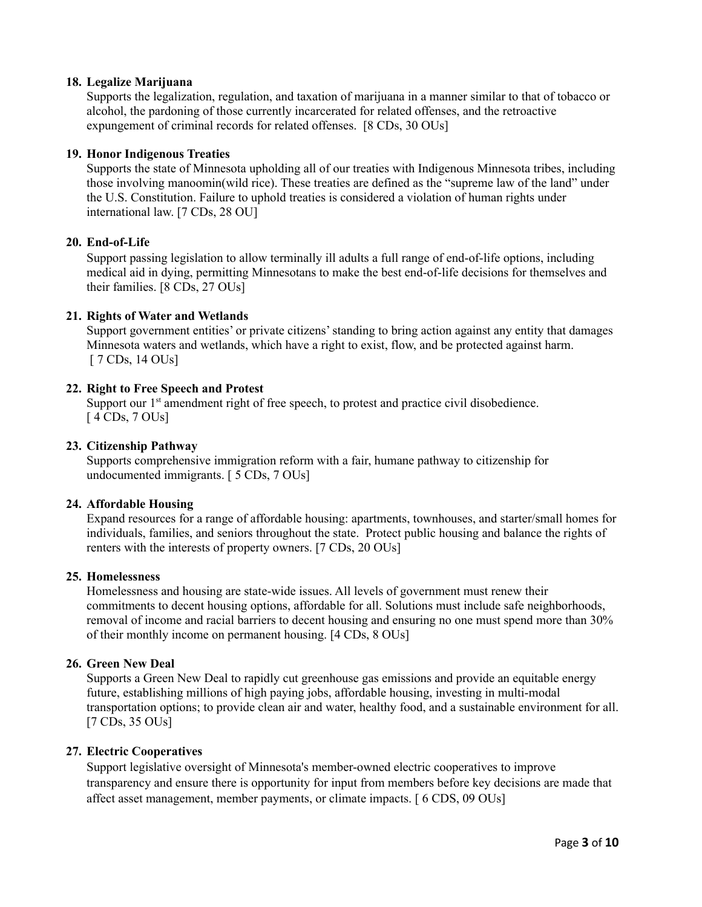# **18. Legalize Marijuana**

Supports the legalization, regulation, and taxation of marijuana in a manner similar to that of tobacco or alcohol, the pardoning of those currently incarcerated for related offenses, and the retroactive expungement of criminal records for related offenses. [8 CDs, 30 OUs]

# **19. Honor Indigenous Treaties**

Supports the state of Minnesota upholding all of our treaties with Indigenous Minnesota tribes, including those involving manoomin(wild rice). These treaties are defined as the "supreme law of the land" under the U.S. Constitution. Failure to uphold treaties is considered a violation of human rights under international law. [7 CDs, 28 OU]

# **20. End-of-Life**

Support passing legislation to allow terminally ill adults a full range of end-of-life options, including medical aid in dying, permitting Minnesotans to make the best end-of-life decisions for themselves and their families. [8 CDs, 27 OUs]

# **21. Rights of Water and Wetlands**

Support government entities' or private citizens'standing to bring action against any entity that damages Minnesota waters and wetlands, which have a right to exist, flow, and be protected against harm. [ 7 CDs, 14 OUs]

# **22. Right to Free Speech and Protest**

Support our 1<sup>st</sup> amendment right of free speech, to protest and practice civil disobedience. [ 4 CDs, 7 OUs]

# **23. Citizenship Pathway**

Supports comprehensive immigration reform with a fair, humane pathway to citizenship for undocumented immigrants. [ 5 CDs, 7 OUs]

# **24. Affordable Housing**

Expand resources for a range of affordable housing: apartments, townhouses, and starter/small homes for individuals, families, and seniors throughout the state. Protect public housing and balance the rights of renters with the interests of property owners. [7 CDs, 20 OUs]

# **25. Homelessness**

Homelessness and housing are state-wide issues. All levels of government must renew their commitments to decent housing options, affordable for all. Solutions must include safe neighborhoods, removal of income and racial barriers to decent housing and ensuring no one must spend more than 30% of their monthly income on permanent housing. [4 CDs, 8 OUs]

# **26. Green New Deal**

Supports a Green New Deal to rapidly cut greenhouse gas emissions and provide an equitable energy future, establishing millions of high paying jobs, affordable housing, investing in multi-modal transportation options; to provide clean air and water, healthy food, and a sustainable environment for all. [7 CDs, 35 OUs]

# **27. Electric Cooperatives**

Support legislative oversight of Minnesota's member-owned electric cooperatives to improve transparency and ensure there is opportunity for input from members before key decisions are made that affect asset management, member payments, or climate impacts. [ 6 CDS, 09 OUs]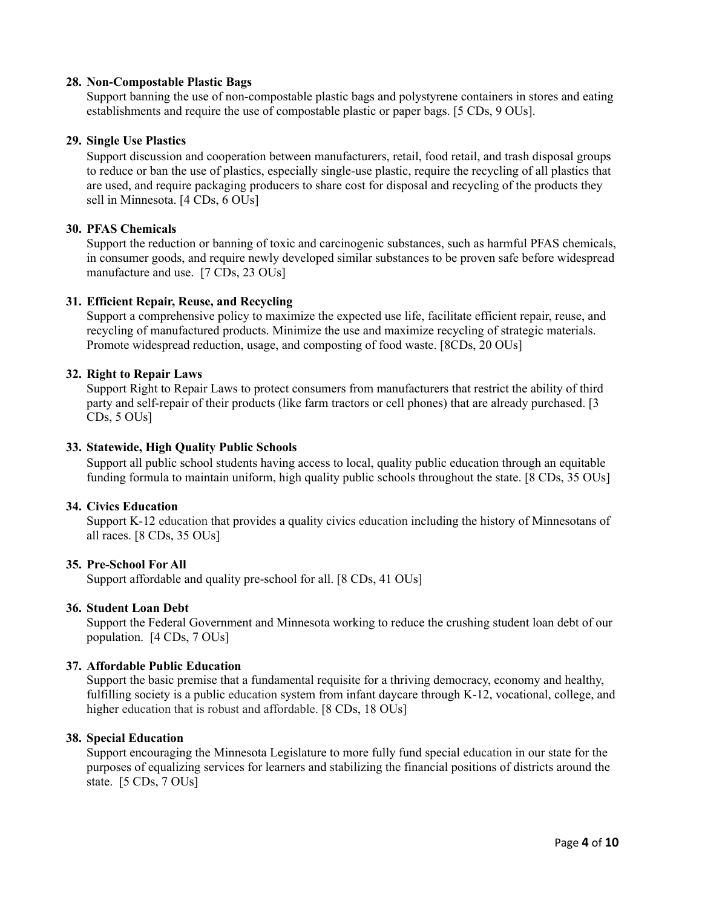# **28. Non-Compostable Plastic Bags**

Support banning the use of non-compostable plastic bags and polystyrene containers in stores and eating establishments and require the use of compostable plastic or paper bags. [5 CDs, 9 OUs].

#### **29. Single Use Plastics**

Support discussion and cooperation between manufacturers, retail, food retail, and trash disposal groups to reduce or ban the use of plastics, especially single-use plastic, require the recycling of all plastics that are used, and require packaging producers to share cost for disposal and recycling of the products they sell in Minnesota. [4 CDs, 6 OUs]

#### **30. PFAS Chemicals**

Support the reduction or banning of toxic and carcinogenic substances, such as harmful PFAS chemicals, in consumer goods, and require newly developed similar substances to be proven safe before widespread manufacture and use. [7 CDs, 23 OUs]

# **31. Efficient Repair, Reuse, and Recycling**

Support a comprehensive policy to maximize the expected use life, facilitate efficient repair, reuse, and recycling of manufactured products. Minimize the use and maximize recycling of strategic materials. Promote widespread reduction, usage, and composting of food waste. [8CDs, 20 OUs]

# **32. Right to Repair Laws**

Support Right to Repair Laws to protect consumers from manufacturers that restrict the ability of third party and self-repair of their products (like farm tractors or cell phones) that are already purchased. [3 CDs, 5 OUs]

#### **33. Statewide, High Quality Public Schools**

Support all public school students having access to local, quality public education through an equitable funding formula to maintain uniform, high quality public schools throughout the state. [8 CDs, 35 OUs]

#### **34. Civics Education**

Support K-12 education that provides a quality civics education including the history of Minnesotans of all races. [8 CDs, 35 OUs]

#### **35. Pre-School For All**

Support affordable and quality pre-school for all. [8 CDs, 41 OUs]

#### **36. Student Loan Debt**

Support the Federal Government and Minnesota working to reduce the crushing student loan debt of our population. [4 CDs, 7 OUs]

#### **37. Affordable Public Education**

Support the basic premise that a fundamental requisite for a thriving democracy, economy and healthy, fulfilling society is a public education system from infant daycare through K-12, vocational, college, and higher education that is robust and affordable. [8 CDs, 18 OUs]

#### **38. Special Education**

Support encouraging the Minnesota Legislature to more fully fund special education in our state for the purposes of equalizing services for learners and stabilizing the financial positions of districts around the state. [5 CDs, 7 OUs]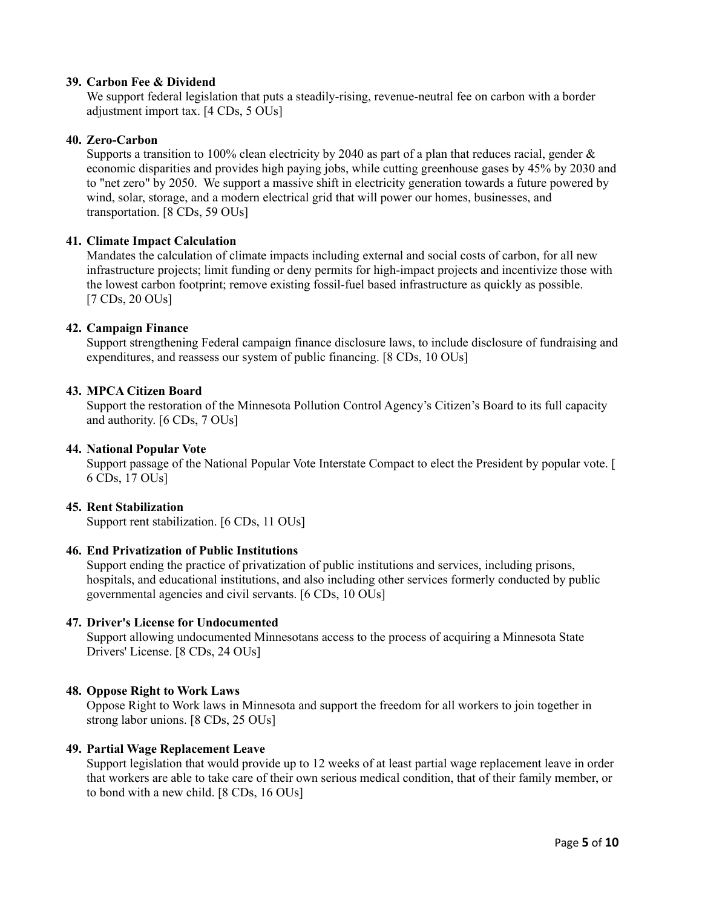# **39. Carbon Fee & Dividend**

We support federal legislation that puts a steadily-rising, revenue-neutral fee on carbon with a border adjustment import tax. [4 CDs, 5 OUs]

#### **40. Zero-Carbon**

Supports a transition to 100% clean electricity by 2040 as part of a plan that reduces racial, gender  $\&$ economic disparities and provides high paying jobs, while cutting greenhouse gases by 45% by 2030 and to "net zero" by 2050. We support a massive shift in electricity generation towards a future powered by wind, solar, storage, and a modern electrical grid that will power our homes, businesses, and transportation. [8 CDs, 59 OUs]

# **41. Climate Impact Calculation**

Mandates the calculation of climate impacts including external and social costs of carbon, for all new infrastructure projects; limit funding or deny permits for high-impact projects and incentivize those with the lowest carbon footprint; remove existing fossil-fuel based infrastructure as quickly as possible. [7 CDs, 20 OUs]

#### **42. Campaign Finance**

Support strengthening Federal campaign finance disclosure laws, to include disclosure of fundraising and expenditures, and reassess our system of public financing. [8 CDs, 10 OUs]

#### **43. MPCA Citizen Board**

Support the restoration of the Minnesota Pollution Control Agency's Citizen's Board to its full capacity and authority. [6 CDs, 7 OUs]

#### **44. National Popular Vote**

Support passage of the National Popular Vote Interstate Compact to elect the President by popular vote. [ 6 CDs, 17 OUs]

#### **45. Rent Stabilization**

Support rent stabilization. [6 CDs, 11 OUs]

# **46. End Privatization of Public Institutions**

Support ending the practice of privatization of public institutions and services, including prisons, hospitals, and educational institutions, and also including other services formerly conducted by public governmental agencies and civil servants. [6 CDs, 10 OUs]

#### **47. Driver's License for Undocumented**

Support allowing undocumented Minnesotans access to the process of acquiring a Minnesota State Drivers' License. [8 CDs, 24 OUs]

# **48. Oppose Right to Work Laws**

Oppose Right to Work laws in Minnesota and support the freedom for all workers to join together in strong labor unions. [8 CDs, 25 OUs]

#### **49. Partial Wage Replacement Leave**

Support legislation that would provide up to 12 weeks of at least partial wage replacement leave in order that workers are able to take care of their own serious medical condition, that of their family member, or to bond with a new child. [8 CDs, 16 OUs]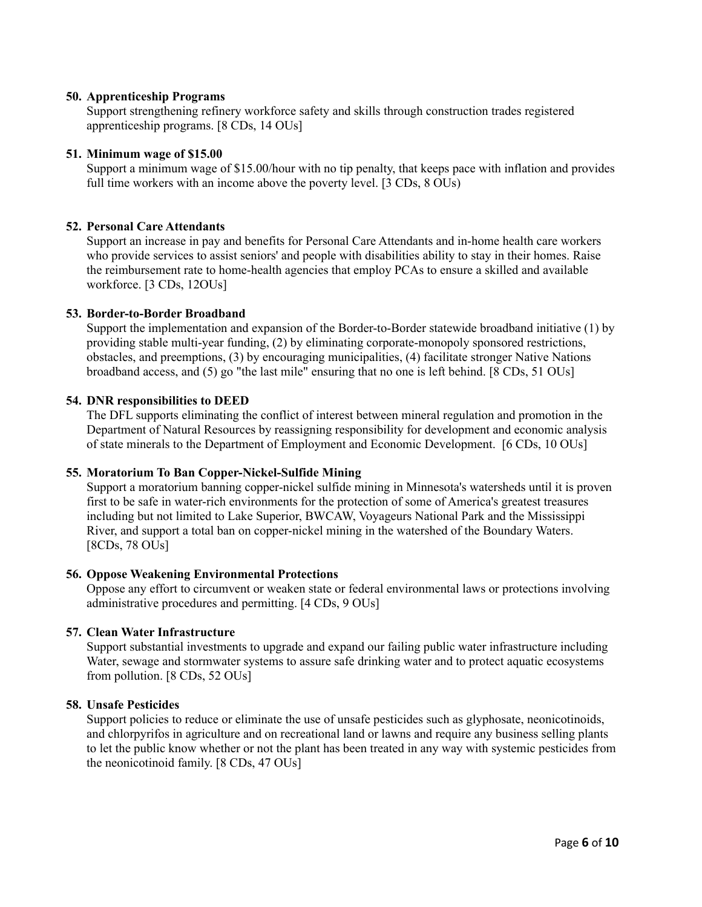# **50. Apprenticeship Programs**

Support strengthening refinery workforce safety and skills through construction trades registered apprenticeship programs. [8 CDs, 14 OUs]

#### **51. Minimum wage of \$15.00**

Support a minimum wage of \$15.00/hour with no tip penalty, that keeps pace with inflation and provides full time workers with an income above the poverty level. [3 CDs,  $8$  OUs)

#### **52. Personal Care Attendants**

Support an increase in pay and benefits for Personal Care Attendants and in-home health care workers who provide services to assist seniors' and people with disabilities ability to stay in their homes. Raise the reimbursement rate to home-health agencies that employ PCAs to ensure a skilled and available workforce. [3 CDs, 12OUs]

#### **53. Border-to-Border Broadband**

Support the implementation and expansion of the Border-to-Border statewide broadband initiative (1) by providing stable multi-year funding, (2) by eliminating corporate-monopoly sponsored restrictions, obstacles, and preemptions, (3) by encouraging municipalities, (4) facilitate stronger Native Nations broadband access, and (5) go "the last mile" ensuring that no one is left behind. [8 CDs, 51 OUs]

#### **54. DNR responsibilities to DEED**

The DFL supports eliminating the conflict of interest between mineral regulation and promotion in the Department of Natural Resources by reassigning responsibility for development and economic analysis of state minerals to the Department of Employment and Economic Development. [6 CDs, 10 OUs]

# **55. Moratorium To Ban Copper-Nickel-Sulfide Mining**

Support a moratorium banning copper-nickel sulfide mining in Minnesota's watersheds until it is proven first to be safe in water-rich environments for the protection of some of America's greatest treasures including but not limited to Lake Superior, BWCAW, Voyageurs National Park and the Mississippi River, and support a total ban on copper-nickel mining in the watershed of the Boundary Waters. [8CDs, 78 OUs]

#### **56. Oppose Weakening Environmental Protections**

Oppose any effort to circumvent or weaken state or federal environmental laws or protections involving administrative procedures and permitting. [4 CDs, 9 OUs]

#### **57. Clean Water Infrastructure**

Support substantial investments to upgrade and expand our failing public water infrastructure including Water, sewage and stormwater systems to assure safe drinking water and to protect aquatic ecosystems from pollution. [8 CDs, 52 OUs]

#### **58. Unsafe Pesticides**

Support policies to reduce or eliminate the use of unsafe pesticides such as glyphosate, neonicotinoids, and chlorpyrifos in agriculture and on recreational land or lawns and require any business selling plants to let the public know whether or not the plant has been treated in any way with systemic pesticides from the neonicotinoid family. [8 CDs, 47 OUs]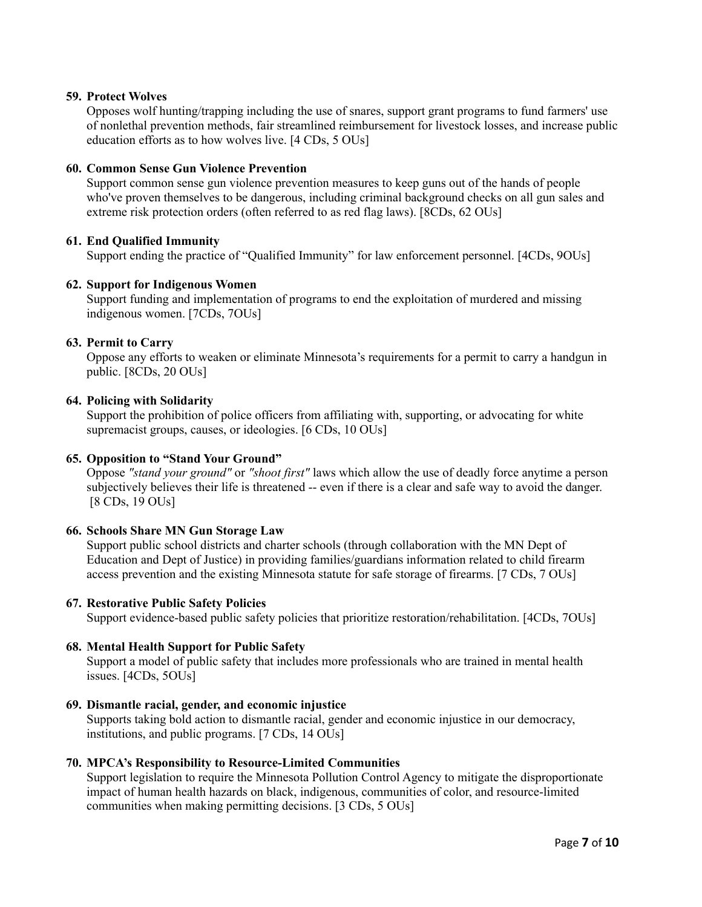# **59. Protect Wolves**

Opposes wolf hunting/trapping including the use of snares, support grant programs to fund farmers' use of nonlethal prevention methods, fair streamlined reimbursement for livestock losses, and increase public education efforts as to how wolves live. [4 CDs, 5 OUs]

# **60. Common Sense Gun Violence Prevention**

Support common sense gun violence prevention measures to keep guns out of the hands of people who've proven themselves to be dangerous, including criminal background checks on all gun sales and extreme risk protection orders (often referred to as red flag laws). [8CDs, 62 OUs]

# **61. End Qualified Immunity**

Support ending the practice of "Qualified Immunity" for law enforcement personnel. [4CDs, 9OUs]

#### **62. Support for Indigenous Women**

Support funding and implementation of programs to end the exploitation of murdered and missing indigenous women. [7CDs, 7OUs]

# **63. Permit to Carry**

Oppose any efforts to weaken or eliminate Minnesota's requirements for a permit to carry a handgun in public. [8CDs, 20 OUs]

#### **64. Policing with Solidarity**

Support the prohibition of police officers from affiliating with, supporting, or advocating for white supremacist groups, causes, or ideologies. [6 CDs, 10 OUs]

#### **65. Opposition to "Stand Your Ground"**

Oppose *"stand your ground"* or *"shoot first"* laws which allow the use of deadly force anytime a person subjectively believes their life is threatened -- even if there is a clear and safe way to avoid the danger. [8 CDs, 19 OUs]

# **66. Schools Share MN Gun Storage Law**

Support public school districts and charter schools (through collaboration with the MN Dept of Education and Dept of Justice) in providing families/guardians information related to child firearm access prevention and the existing Minnesota statute for safe storage of firearms. [7 CDs, 7 OUs]

#### **67. Restorative Public Safety Policies**

Support evidence-based public safety policies that prioritize restoration/rehabilitation. [4CDs, 7OUs]

# **68. Mental Health Support for Public Safety**

Support a model of public safety that includes more professionals who are trained in mental health issues. [4CDs, 5OUs]

#### **69. Dismantle racial, gender, and economic injustice**

Supports taking bold action to dismantle racial, gender and economic injustice in our democracy, institutions, and public programs. [7 CDs, 14 OUs]

# **70. MPCA's Responsibility to Resource-Limited Communities**

Support legislation to require the Minnesota Pollution Control Agency to mitigate the disproportionate impact of human health hazards on black, indigenous, communities of color, and resource-limited communities when making permitting decisions. [3 CDs, 5 OUs]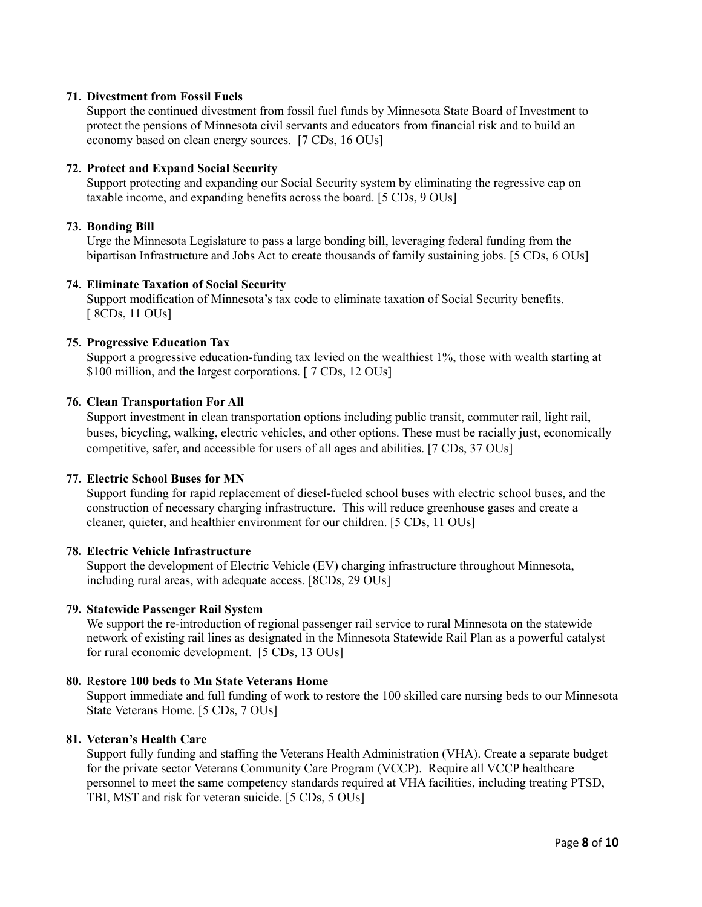# **71. Divestment from Fossil Fuels**

Support the continued divestment from fossil fuel funds by Minnesota State Board of Investment to protect the pensions of Minnesota civil servants and educators from financial risk and to build an economy based on clean energy sources. [7 CDs, 16 OUs]

# **72. Protect and Expand Social Security**

Support protecting and expanding our Social Security system by eliminating the regressive cap on taxable income, and expanding benefits across the board. [5 CDs, 9 OUs]

# **73. Bonding Bill**

Urge the Minnesota Legislature to pass a large bonding bill, leveraging federal funding from the bipartisan Infrastructure and Jobs Act to create thousands of family sustaining jobs. [5 CDs, 6 OUs]

# **74. Eliminate Taxation of Social Security**

Support modification of Minnesota's tax code to eliminate taxation of Social Security benefits. [ 8CDs, 11 OUs]

# **75. Progressive Education Tax**

Support a progressive education-funding tax levied on the wealthiest 1%, those with wealth starting at \$100 million, and the largest corporations. [ 7 CDs, 12 OUs]

# **76. Clean Transportation For All**

Support investment in clean transportation options including public transit, commuter rail, light rail, buses, bicycling, walking, electric vehicles, and other options. These must be racially just, economically competitive, safer, and accessible for users of all ages and abilities. [7 CDs, 37 OUs]

# **77. Electric School Buses for MN**

Support funding for rapid replacement of diesel-fueled school buses with electric school buses, and the construction of necessary charging infrastructure. This will reduce greenhouse gases and create a cleaner, quieter, and healthier environment for our children. [5 CDs, 11 OUs]

# **78. Electric Vehicle Infrastructure**

Support the development of Electric Vehicle (EV) charging infrastructure throughout Minnesota, including rural areas, with adequate access. [8CDs, 29 OUs]

# **79. Statewide Passenger Rail System**

We support the re-introduction of regional passenger rail service to rural Minnesota on the statewide network of existing rail lines as designated in the Minnesota Statewide Rail Plan as a powerful catalyst for rural economic development. [5 CDs, 13 OUs]

# **80.** R**estore 100 beds to Mn State Veterans Home**

Support immediate and full funding of work to restore the 100 skilled care nursing beds to our Minnesota State Veterans Home. [5 CDs, 7 OUs]

# **81. Veteran's Health Care**

Support fully funding and staffing the Veterans Health Administration (VHA). Create a separate budget for the private sector Veterans Community Care Program (VCCP). Require all VCCP healthcare personnel to meet the same competency standards required at VHA facilities, including treating PTSD, TBI, MST and risk for veteran suicide. [5 CDs, 5 OUs]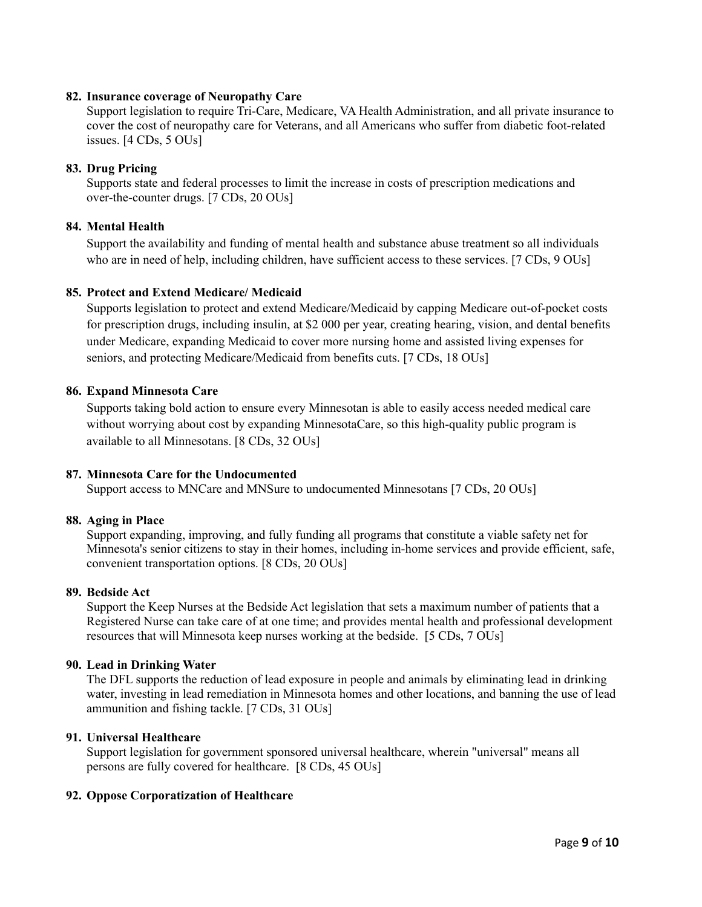#### **82. Insurance coverage of Neuropathy Care**

Support legislation to require Tri-Care, Medicare, VA Health Administration, and all private insurance to cover the cost of neuropathy care for Veterans, and all Americans who suffer from diabetic foot-related issues. [4 CDs, 5 OUs]

#### **83. Drug Pricing**

Supports state and federal processes to limit the increase in costs of prescription medications and over-the-counter drugs. [7 CDs, 20 OUs]

#### **84. Mental Health**

Support the availability and funding of mental health and substance abuse treatment so all individuals who are in need of help, including children, have sufficient access to these services. [7 CDs, 9 OUs]

#### **85. Protect and Extend Medicare/ Medicaid**

Supports legislation to protect and extend Medicare/Medicaid by capping Medicare out-of-pocket costs for prescription drugs, including insulin, at \$2 000 per year, creating hearing, vision, and dental benefits under Medicare, expanding Medicaid to cover more nursing home and assisted living expenses for seniors, and protecting Medicare/Medicaid from benefits cuts. [7 CDs, 18 OUs]

#### **86. Expand Minnesota Care**

Supports taking bold action to ensure every Minnesotan is able to easily access needed medical care without worrying about cost by expanding MinnesotaCare, so this high-quality public program is available to all Minnesotans. [8 CDs, 32 OUs]

#### **87. Minnesota Care for the Undocumented**

Support access to MNCare and MNSure to undocumented Minnesotans [7 CDs, 20 OUs]

#### **88. Aging in Place**

Support expanding, improving, and fully funding all programs that constitute a viable safety net for Minnesota's senior citizens to stay in their homes, including in-home services and provide efficient, safe, convenient transportation options. [8 CDs, 20 OUs]

#### **89. Bedside Act**

Support the Keep Nurses at the Bedside Act legislation that sets a maximum number of patients that a Registered Nurse can take care of at one time; and provides mental health and professional development resources that will Minnesota keep nurses working at the bedside. [5 CDs, 7 OUs]

#### **90. Lead in Drinking Water**

The DFL supports the reduction of lead exposure in people and animals by eliminating lead in drinking water, investing in lead remediation in Minnesota homes and other locations, and banning the use of lead ammunition and fishing tackle. [7 CDs, 31 OUs]

# **91. Universal Healthcare**

Support legislation for government sponsored universal healthcare, wherein "universal" means all persons are fully covered for healthcare. [8 CDs, 45 OUs]

#### **92. Oppose Corporatization of Healthcare**